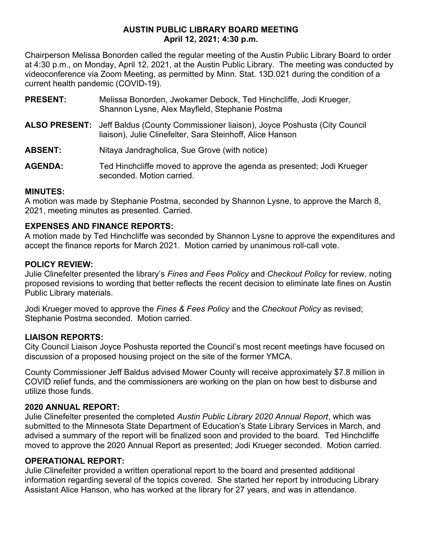### **AUSTIN PUBLIC LIBRARY BOARD MEETING April 12, 2021; 4:30 p.m.**

Chairperson Melissa Bonorden called the regular meeting of the Austin Public Library Board to order at 4:30 p.m., on Monday, April 12, 2021, at the Austin Public Library. The meeting was conducted by videoconference via Zoom Meeting, as permitted by Minn. Stat. 13D.021 during the condition of a current health pandemic (COVID-19).

- **PRESENT:** Melissa Bonorden, Jwokamer Debock, Ted Hinchcliffe, Jodi Krueger, Shannon Lysne, Alex Mayfield, Stephanie Postma
- **ALSO PRESENT:** Jeff Baldus (County Commissioner liaison), Joyce Poshusta (City Council liaison), Julie Clinefelter, Sara Steinhoff, Alice Hanson
- **ABSENT:** Nitaya Jandragholica, Sue Grove (with notice)
- **AGENDA:** Ted Hinchcliffe moved to approve the agenda as presented; Jodi Krueger seconded. Motion carried.

# **MINUTES:**

A motion was made by Stephanie Postma, seconded by Shannon Lysne, to approve the March 8, 2021, meeting minutes as presented. Carried.

# **EXPENSES AND FINANCE REPORTS:**

A motion made by Ted Hinchcliffe was seconded by Shannon Lysne to approve the expenditures and accept the finance reports for March 2021. Motion carried by unanimous roll-call vote.

# **POLICY REVIEW:**

Julie Clinefelter presented the library's *Fines and Fees Policy* and *Checkout Policy* for review, noting proposed revisions to wording that better reflects the recent decision to eliminate late fines on Austin Public Library materials.

Jodi Krueger moved to approve the *Fines & Fees Policy* and the *Checkout Policy* as revised; Stephanie Postma seconded. Motion carried.

# **LIAISON REPORTS:**

City Council Liaison Joyce Poshusta reported the Council's most recent meetings have focused on discussion of a proposed housing project on the site of the former YMCA.

County Commissioner Jeff Baldus advised Mower County will receive approximately \$7.8 million in COVID relief funds, and the commissioners are working on the plan on how best to disburse and utilize those funds.

# **2020 ANNUAL REPORT:**

Julie Clinefelter presented the completed *Austin Public Library 2020 Annual Report*, which was submitted to the Minnesota State Department of Education's State Library Services in March, and advised a summary of the report will be finalized soon and provided to the board. Ted Hinchcliffe moved to approve the 2020 Annual Report as presented; Jodi Krueger seconded. Motion carried.

# **OPERATIONAL REPORT:**

Julie Clinefelter provided a written operational report to the board and presented additional information regarding several of the topics covered. She started her report by introducing Library Assistant Alice Hanson, who has worked at the library for 27 years, and was in attendance.